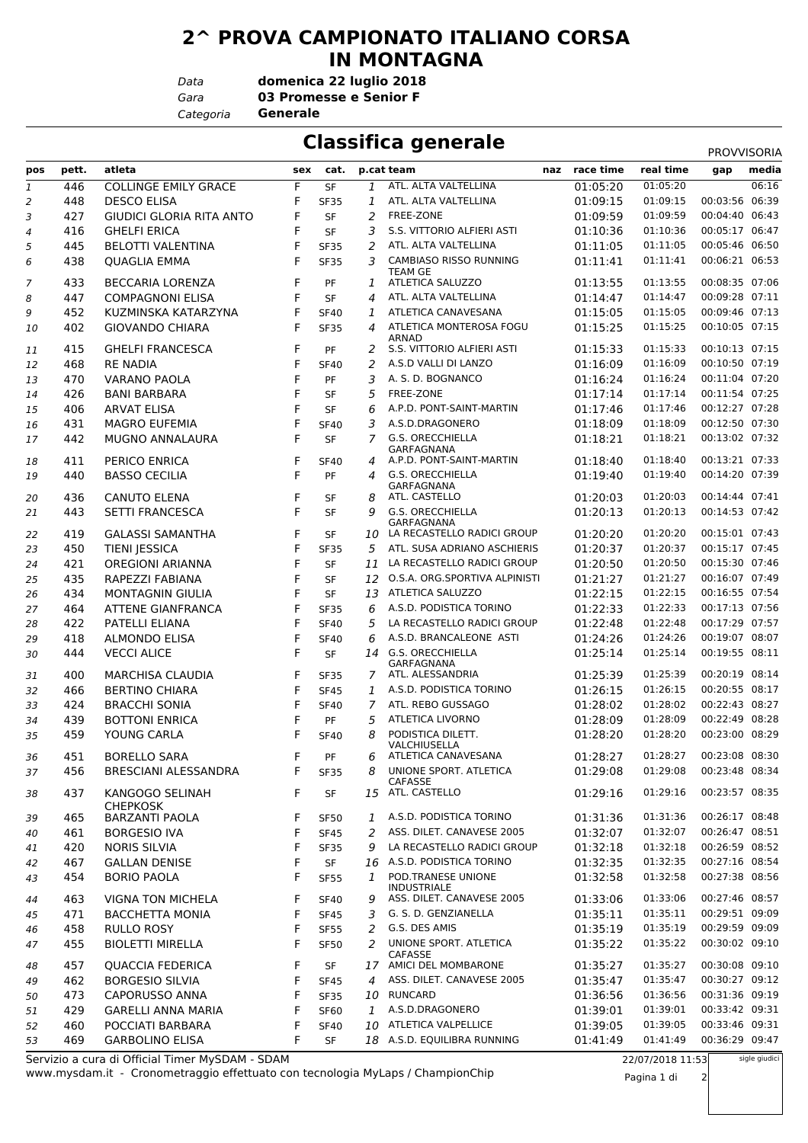## **2^ PROVA CAMPIONATO ITALIANO CORSA IN MONTAGNA**

*Data*

**domenica 22 luglio 2018**

*Gara* **03 Promesse e Senior F**

*Categoria* **Generale**

## **Classifica generale**

|                |       |                                                 |     |             |    |                                                 |           |                  | PROVVISORIA    |               |
|----------------|-------|-------------------------------------------------|-----|-------------|----|-------------------------------------------------|-----------|------------------|----------------|---------------|
| pos            | pett. | atleta                                          | sex | cat.        |    | p.cat team<br>naz                               | race time | real time        | gap            | media         |
| 1              | 446   | <b>COLLINGE EMILY GRACE</b>                     | F   | <b>SF</b>   | 1  | ATL. ALTA VALTELLINA                            | 01:05:20  | 01:05:20         |                | 06:16         |
| $\overline{2}$ | 448   | <b>DESCO ELISA</b>                              | F   | <b>SF35</b> | 1  | ATL. ALTA VALTELLINA                            | 01:09:15  | 01:09:15         | 00:03:56       | 06:39         |
| 3              | 427   | <b>GIUDICI GLORIA RITA ANTO</b>                 | F   | SF          | 2  | FREE-ZONE                                       | 01:09:59  | 01:09:59         | 00:04:40 06:43 |               |
| 4              | 416   | <b>GHELFI ERICA</b>                             | F   | <b>SF</b>   | 3  | S.S. VITTORIO ALFIERI ASTI                      | 01:10:36  | 01:10:36         | 00:05:17 06:47 |               |
| 5              | 445   | <b>BELOTTI VALENTINA</b>                        | F   | <b>SF35</b> | 2  | ATL. ALTA VALTELLINA                            | 01:11:05  | 01:11:05         | 00:05:46 06:50 |               |
| 6              | 438   | <b>QUAGLIA EMMA</b>                             | F   | <b>SF35</b> | 3  | CAMBIASO RISSO RUNNING<br><b>TEAM GE</b>        | 01:11:41  | 01:11:41         | 00:06:21 06:53 |               |
| 7              | 433   | <b>BECCARIA LORENZA</b>                         | F   | PF          | 1  | ATLETICA SALUZZO                                | 01:13:55  | 01:13:55         | 00:08:35 07:06 |               |
| 8              | 447   | <b>COMPAGNONI ELISA</b>                         | F   | <b>SF</b>   | 4  | ATL. ALTA VALTELLINA                            | 01:14:47  | 01:14:47         | 00:09:28 07:11 |               |
| 9              | 452   | KUZMINSKA KATARZYNA                             | F   | <b>SF40</b> | 1  | ATLETICA CANAVESANA                             | 01:15:05  | 01:15:05         | 00:09:46 07:13 |               |
| 10             | 402   | <b>GIOVANDO CHIARA</b>                          | F   | <b>SF35</b> | 4  | ATLETICA MONTEROSA FOGU<br><b>ARNAD</b>         | 01:15:25  | 01:15:25         | 00:10:05 07:15 |               |
| 11             | 415   | <b>GHELFI FRANCESCA</b>                         | F   | PF          | 2  | S.S. VITTORIO ALFIERI ASTI                      | 01:15:33  | 01:15:33         | 00:10:13 07:15 |               |
| 12             | 468   | <b>RE NADIA</b>                                 | F   | <b>SF40</b> | 2  | A.S.D VALLI DI LANZO                            | 01:16:09  | 01:16:09         | 00:10:50 07:19 |               |
| 13             | 470   | <b>VARANO PAOLA</b>                             | F   | PF          | 3  | A. S. D. BOGNANCO                               | 01:16:24  | 01:16:24         | 00:11:04 07:20 |               |
| 14             | 426   | <b>BANI BARBARA</b>                             | F   | <b>SF</b>   | 5  | FREE-ZONE                                       | 01:17:14  | 01:17:14         | 00:11:54 07:25 |               |
| 15             | 406   | <b>ARVAT ELISA</b>                              | F   | <b>SF</b>   | 6  | A.P.D. PONT-SAINT-MARTIN                        | 01:17:46  | 01:17:46         | 00:12:27 07:28 |               |
| 16             | 431   | <b>MAGRO EUFEMIA</b>                            | F   | <b>SF40</b> | 3  | A.S.D.DRAGONERO                                 | 01:18:09  | 01:18:09         | 00:12:50 07:30 |               |
| 17             | 442   | <b>MUGNO ANNALAURA</b>                          | F   | <b>SF</b>   | 7  | G.S. ORECCHIELLA                                | 01:18:21  | 01:18:21         | 00:13:02 07:32 |               |
| 18             | 411   | PERICO ENRICA                                   | F   | <b>SF40</b> | 4  | <b>GARFAGNANA</b><br>A.P.D. PONT-SAINT-MARTIN   | 01:18:40  | 01:18:40         | 00:13:21 07:33 |               |
| 19             | 440   | <b>BASSO CECILIA</b>                            | F   | PF          | 4  | <b>G.S. ORECCHIELLA</b>                         | 01:19:40  | 01:19:40         | 00:14:20 07:39 |               |
|                |       |                                                 |     |             |    | GARFAGNANA                                      |           |                  |                |               |
| 20             | 436   | <b>CANUTO ELENA</b>                             | F   | SF          | 8  | ATL. CASTELLO                                   | 01:20:03  | 01:20:03         | 00:14:44 07:41 |               |
| 21             | 443   | SETTI FRANCESCA                                 | F   | <b>SF</b>   | 9  | G.S. ORECCHIELLA<br>GARFAGNANA                  | 01:20:13  | 01:20:13         | 00:14:53 07:42 |               |
| 22             | 419   | <b>GALASSI SAMANTHA</b>                         | F   | <b>SF</b>   | 10 | LA RECASTELLO RADICI GROUP                      | 01:20:20  | 01:20:20         | 00:15:01 07:43 |               |
| 23             | 450   | <b>TIENI JESSICA</b>                            | F   | <b>SF35</b> | 5  | ATL. SUSA ADRIANO ASCHIERIS                     | 01:20:37  | 01:20:37         | 00:15:17 07:45 |               |
| 24             | 421   | <b>OREGIONI ARIANNA</b>                         | F   | <b>SF</b>   | 11 | LA RECASTELLO RADICI GROUP                      | 01:20:50  | 01:20:50         | 00:15:30 07:46 |               |
| 25             | 435   | RAPEZZI FABIANA                                 | F   | <b>SF</b>   | 12 | O.S.A. ORG.SPORTIVA ALPINISTI                   | 01:21:27  | 01:21:27         | 00:16:07 07:49 |               |
| 26             | 434   | <b>MONTAGNIN GIULIA</b>                         | F   | <b>SF</b>   | 13 | ATLETICA SALUZZO                                | 01:22:15  | 01:22:15         | 00:16:55 07:54 |               |
| 27             | 464   | <b>ATTENE GIANFRANCA</b>                        | F   | <b>SF35</b> | 6  | A.S.D. PODISTICA TORINO                         | 01:22:33  | 01:22:33         | 00:17:13 07:56 |               |
| 28             | 422   | PATELLI ELIANA                                  | F   | <b>SF40</b> | 5  | LA RECASTELLO RADICI GROUP                      | 01:22:48  | 01:22:48         | 00:17:29 07:57 |               |
| 29             | 418   | <b>ALMONDO ELISA</b>                            | F   | <b>SF40</b> | 6  | A.S.D. BRANCALEONE ASTI                         | 01:24:26  | 01:24:26         | 00:19:07 08:07 |               |
| 30             | 444   | <b>VECCI ALICE</b>                              | F   | <b>SF</b>   |    | 14 G.S. ORECCHIELLA                             | 01:25:14  | 01:25:14         | 00:19:55 08:11 |               |
| 31             | 400   | <b>MARCHISA CLAUDIA</b>                         | F   | <b>SF35</b> | 7  | <b>GARFAGNANA</b><br>ATL. ALESSANDRIA           | 01:25:39  | 01:25:39         | 00:20:19 08:14 |               |
| 32             | 466   | <b>BERTINO CHIARA</b>                           | F   | <b>SF45</b> | 1  | A.S.D. PODISTICA TORINO                         | 01:26:15  | 01:26:15         | 00:20:55 08:17 |               |
| 33             | 424   | <b>BRACCHI SONIA</b>                            | F   | <b>SF40</b> | 7  | ATL. REBO GUSSAGO                               | 01:28:02  | 01:28:02         | 00:22:43 08:27 |               |
| 34             | 439   | <b>BOTTONI ENRICA</b>                           | F   | PF          | 5  | <b>ATLETICA LIVORNO</b>                         | 01:28:09  | 01:28:09         | 00:22:49 08:28 |               |
| 35             | 459   | YOUNG CARLA                                     | F   | <b>SF40</b> | 8  | PODISTICA DILETT.                               | 01:28:20  | 01:28:20         | 00:23:00 08:29 |               |
| 36             | 451   | BORFLIO SARA                                    | F   | PF          | 6  | VALCHIUSELLA<br>ATLETICA CANAVESANA             | 01:28:27  | 01:28:27         | 00:23:08 08:30 |               |
| 37             | 456   | BRESCIANI ALESSANDRA                            | F   | <b>SF35</b> | 8  | UNIONE SPORT. ATLETICA                          | 01:29:08  | 01:29:08         | 00:23:48 08:34 |               |
|                |       |                                                 |     |             |    | <b>CAFASSE</b><br>15 ATL. CASTELLO              |           | 01:29:16         | 00:23:57 08:35 |               |
| 38             | 437   | KANGOGO SELINAH<br><b>CHEPKOSK</b>              | F   | SF          |    |                                                 | 01:29:16  |                  |                |               |
| 39             | 465   | <b>BARZANTI PAOLA</b>                           | F   | <b>SF50</b> | 1  | A.S.D. PODISTICA TORINO                         | 01:31:36  | 01:31:36         | 00:26:17 08:48 |               |
| 40             | 461   | <b>BORGESIO IVA</b>                             | F   | <b>SF45</b> | 2  | ASS. DILET. CANAVESE 2005                       | 01:32:07  | 01:32:07         | 00:26:47 08:51 |               |
| 41             | 420   | <b>NORIS SILVIA</b>                             | F   | <b>SF35</b> | 9  | LA RECASTELLO RADICI GROUP                      | 01:32:18  | 01:32:18         | 00:26:59 08:52 |               |
| 42             | 467   | <b>GALLAN DENISE</b>                            | F   | SF          |    | 16 A.S.D. PODISTICA TORINO                      | 01:32:35  | 01:32:35         | 00:27:16 08:54 |               |
| 43             | 454   | <b>BORIO PAOLA</b>                              | F   | <b>SF55</b> | 1  | POD.TRANESE UNIONE                              | 01:32:58  | 01:32:58         | 00:27:38 08:56 |               |
| 44             | 463   | <b>VIGNA TON MICHELA</b>                        | F   | <b>SF40</b> | 9  | <b>INDUSTRIALE</b><br>ASS. DILET. CANAVESE 2005 | 01:33:06  | 01:33:06         | 00:27:46 08:57 |               |
| 45             | 471   | <b>BACCHETTA MONIA</b>                          | F   | <b>SF45</b> | 3  | G. S. D. GENZIANELLA                            | 01:35:11  | 01:35:11         | 00:29:51 09:09 |               |
| 46             | 458   | RULLO ROSY                                      | F   | <b>SF55</b> | 2  | G.S. DES AMIS                                   | 01:35:19  | 01:35:19         | 00:29:59 09:09 |               |
| 47             | 455   | <b>BIOLETTI MIRELLA</b>                         | F   | <b>SF50</b> | 2  | UNIONE SPORT. ATLETICA                          | 01:35:22  | 01:35:22         | 00:30:02 09:10 |               |
|                |       |                                                 |     |             |    | CAFASSE                                         |           |                  |                |               |
| 48             | 457   | <b>QUACCIA FEDERICA</b>                         | F   | SF          |    | 17 AMICI DEL MOMBARONE                          | 01:35:27  | 01:35:27         | 00:30:08 09:10 |               |
| 49             | 462   | <b>BORGESIO SILVIA</b>                          | F   | <b>SF45</b> | 4  | ASS. DILET. CANAVESE 2005                       | 01:35:47  | 01:35:47         | 00:30:27 09:12 |               |
| 50             | 473   | <b>CAPORUSSO ANNA</b>                           | F   | <b>SF35</b> |    | 10 RUNCARD                                      | 01:36:56  | 01:36:56         | 00:31:36 09:19 |               |
| 51             | 429   | <b>GARELLI ANNA MARIA</b>                       | F   | <b>SF60</b> | 1  | A.S.D.DRAGONERO                                 | 01:39:01  | 01:39:01         | 00:33:42 09:31 |               |
| 52             | 460   | POCCIATI BARBARA                                | F   | <b>SF40</b> |    | 10 ATLETICA VALPELLICE                          | 01:39:05  | 01:39:05         | 00:33:46 09:31 |               |
| 53             | 469   | <b>GARBOLINO ELISA</b>                          | F   | SF          |    | 18 A.S.D. EQUILIBRA RUNNING                     | 01:41:49  | 01:41:49         | 00:36:29 09:47 |               |
|                |       | Servizio a cura di Official Timer MySDAM - SDAM |     |             |    |                                                 |           | 22/07/2018 11:53 |                | sigle giudici |

www.mysdam.it - Cronometraggio effettuato con tecnologia MyLaps / ChampionChip Servizio a cura di Official Timer MySDAM - SDAM

22/07/2018 11:53

Pagina 1 di 2